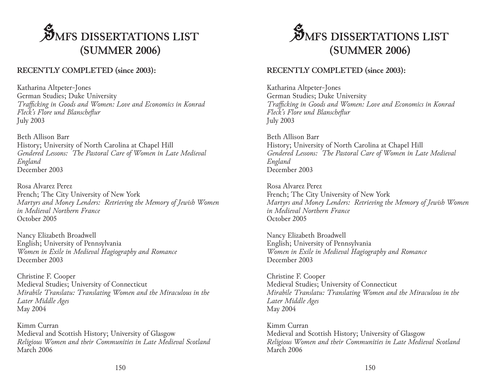## **S**MFS DISSERTATIONS LIST **(SUMMER 2006)**

## **RECENTLY COMPLETED (since 2003):**

Katharina Altpeter-Jones German Studies; Duke University *Trafficking in Goods and Women: Love and Economics in Konrad Fleck's Flore und Blanscheflur* July 2003

Beth Allison Barr History; University of North Carolina at Chapel Hill *Gendered Lessons: The Pastoral Care of Women in Late Medieval England* December 2003

Rosa Alvarez Perez French; The City University of New York *Martyrs and Money Lenders: Retrieving the Memory of Jewish Women in Medieval Northern France* October 2005

Nancy Elizabeth Broadwell English; University of Pennsylvania *Women in Exile in Medieval Hagiography and Romance* December 2003

Christine F. Cooper Medieval Studies; University of Connecticut *Mirabile Translatu: Translating Women and the Miraculous in the Later Middle Ages* May 2004

Kimm Curran Medieval and Scottish History; University of Glasgow *Religious Women and their Communities in Late Medieval Scotland* March 2006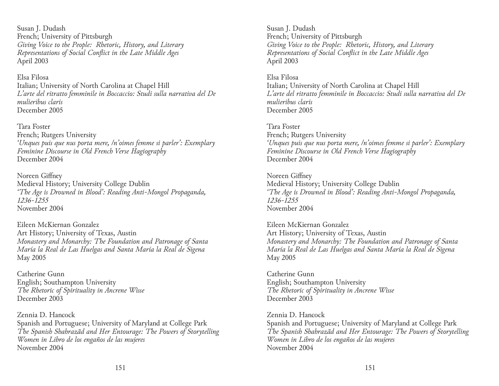Susan J. Dudash French; University of Pittsburgh *Giving Voice to the People: Rhetoric, History, and Literary Representations of Social Conflict in the Late Middle Ages* April 2003

Elsa Filosa Italian; University of North Carolina at Chapel Hill *L'arte del ritratto femminile in Boccaccio: Studi sulla narrativa del De mulieribus claris* December 2005

Tara Foster French; Rutgers University *'Unques puis que nus porta mere, /n'oimes femme si parler': Exemplary Feminine Discourse in Old French Verse Hagiography* December 2004

Noreen Giffney Medieval History; University College Dublin *'The Age is Drowned in Blood': Reading Anti-Mongol Propaganda, 1236-1255* November 2004

Eileen McKiernan Gonzalez Art History; University of Texas, Austin *Monastery and Monarchy: The Foundation and Patronage of Santa María la Real de Las Huelgas and Santa María la Real de Sigena* May 2005

Catherine Gunn English; Southampton University *The Rhetoric of Spirituality in Ancrene Wisse* December 2003

Zennia D. Hancock Spanish and Portuguese; University of Maryland at College Park *The Spanish Shahrazãd and Her Entourage: The Powers of Storytelling Women in Libro de los engaños de las mujeres* November 2004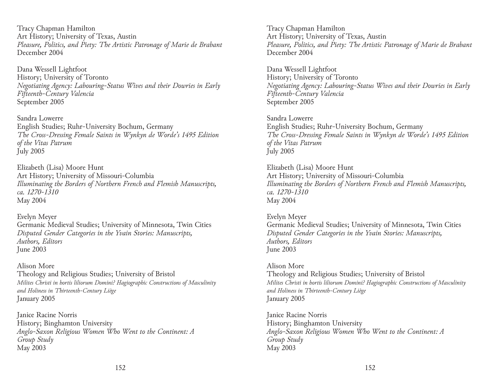Tracy Chapman Hamilton Art History; University of Texas, Austin *Pleasure, Politics, and Piety: The Artistic Patronage of Marie de Brabant* December 2004

Dana Wessell Lightfoot History; University of Toronto *Negotiating Agency: Labouring-Status Wives and their Dowries in Early Fifteenth-Century Valencia* September 2005

Sandra Lowerre English Studies; Ruhr-University Bochum, Germany *The Cross-Dressing Female Saints in Wynkyn de Worde's 1495 Edition of the Vitas Patrum* July 2005

Elizabeth (Lisa) Moore Hunt Art History; University of Missouri-Columbia *Illuminating the Borders of Northern French and Flemish Manuscripts, ca. 1270-1310* May 2004

Evelyn Meyer Germanic Medieval Studies; University of Minnesota, Twin Cities *Disputed Gender Categories in the Yvain Stories: Manuscripts, Authors, Editors* June 2003

Alison More Theology and Religious Studies; University of Bristol *Milites Christi in hortis liliorum Domini? Hagiographic Constructions of Masculinity and Holiness in Thirteenth-Century Liège* January 2005

Janice Racine Norris History; Binghamton University *Anglo-Saxon Religious Women Who Went to the Continent: A Group Study* May 2003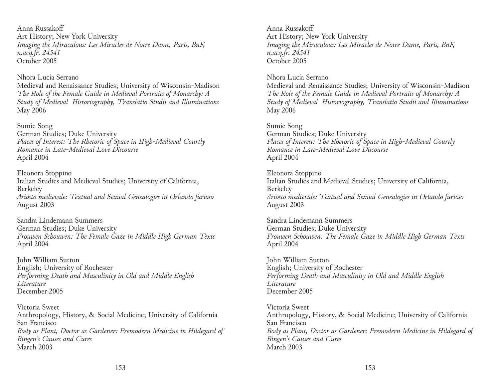Anna Russakoff Art History; New York University *Imaging the Miraculous: Les Miracles de Notre Dame, Paris, BnF, n.acq.fr. 24541* October 2005

Nhora Lucía Serrano

Medieval and Renaissance Studies; University of Wisconsin-Madison *The Role of the Female Guide in Medieval Portraits of Monarchy: A Study of Medieval Historiography, Translatio Studii and Illuminations* May 2006

Sumie Song German Studies; Duke University *Places of Interest: The Rhetoric of Space in High-Medieval Courtly Romance in Late-Medieval Love Discourse*  April 2004

Eleonora Stoppino Italian Studies and Medieval Studies; University of California, Berkeley *Ariosto medievale: Textual and Sexual Genealogies in Orlando furioso* August 2003

Sandra Lindemann Summers German Studies; Duke University *Frouwen Schouwen: The Female Gaze in Middle High German Texts* April 2004

John William Sutton English; University of Rochester *Performing Death and Masculinity in Old and Middle English Literature* December 2005

Victoria Sweet Anthropology, History, & Social Medicine; University of California San Francisco *Body as Plant, Doctor as Gardener: Premodern Medicine in Hildegard of Bingen's Causes and Cures* March 2003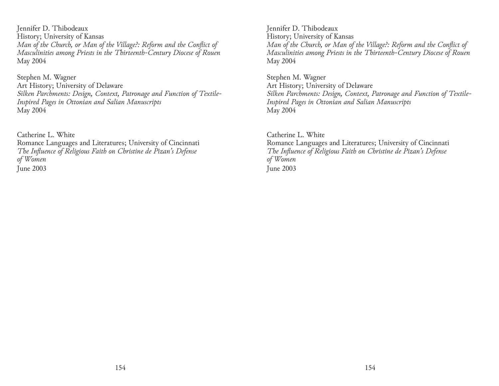Jennifer D. Thibodeaux History; University of Kansas *Man of the Church, or Man of the Village?: Reform and the Conflict of Masculinities among Priests in the Thirteenth-Century Diocese of Rouen* May 2004

Stephen M. Wagner Art History; University of Delaware *Silken Parchments: Design, Context, Patronage and Function of Textile-Inspired Pages in Ottonian and Salian Manuscripts* May 2004

Catherine L. White Romance Languages and Literatures; University of Cincinnati *The Influence of Religious Faith on Christine de Pizan's Defense of Women* June 2003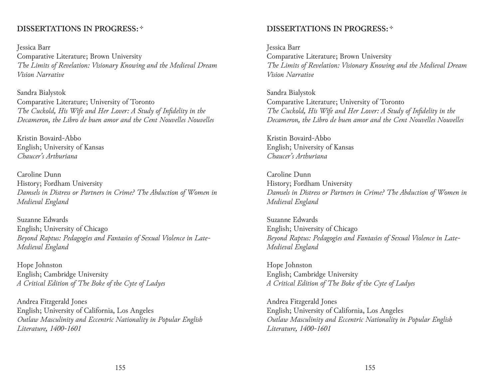## **DISSERTATIONS IN PROGRESS:**  $*$

Jessica Barr Comparative Literature; Brown University *The Limits of Revelation: Visionary Knowing and the Medieval Dream Vision Narrative*

Sandra Bialystok Comparative Literature; University of Toronto *The Cuckold, His Wife and Her Lover: A Study of Infidelity in the Decameron, the Libro de buen amor and the Cent Nouvelles Nouvelles*

Kristin Bovaird-Abbo English; University of Kansas *Chaucer's Arthuriana*

Caroline Dunn History; Fordham University *Damsels in Distress or Partners in Crime? The Abduction of Women in Medieval England*

Suzanne Edwards English; University of Chicago *Beyond Raptus: Pedagogies and Fantasies of Sexual Violence in Late-Medieval England*

Hope Johnston English; Cambridge University *A Critical Edition of The Boke of the Cyte of Ladyes*

Andrea Fitzgerald Jones English; University of California, Los Angeles *Outlaw Masculinity and Eccentric Nationality in Popular English Literature, 1400-1601*